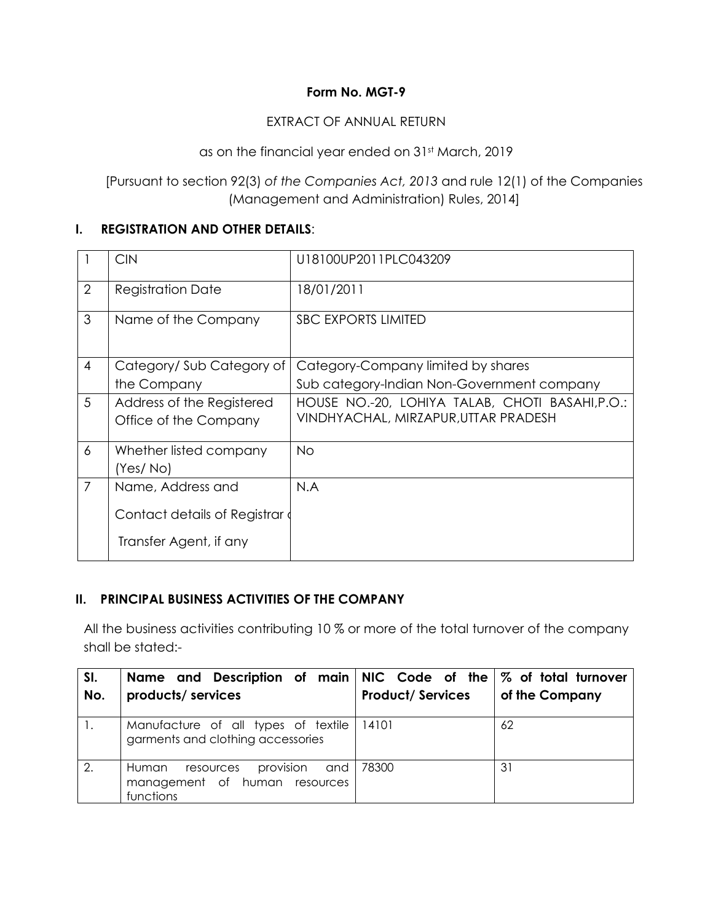### **Form No. MGT-9**

#### EXTRACT OF ANNUAL RETURN

as on the financial year ended on 31st March, 2019

[Pursuant to section 92(3) *of the Companies Act, 2013* and rule 12(1) of the Companies (Management and Administration) Rules, 2014]

#### **I. REGISTRATION AND OTHER DETAILS**:

|                | <b>CIN</b>                   | U18100UP2011PLC043209                           |
|----------------|------------------------------|-------------------------------------------------|
| $\overline{2}$ | <b>Registration Date</b>     | 18/01/2011                                      |
| 3              | Name of the Company          | <b>SBC EXPORTS LIMITED</b>                      |
| $\overline{4}$ | Category/Sub Category of     | Category-Company limited by shares              |
|                | the Company                  | Sub category-Indian Non-Government company      |
| 5              | Address of the Registered    | HOUSE NO.-20, LOHIYA TALAB, CHOTI BASAHI, P.O.: |
|                | Office of the Company        | VINDHYACHAL, MIRZAPUR, UTTAR PRADESH            |
| 6              | Whether listed company       | <b>No</b>                                       |
|                | (Yes/No)                     |                                                 |
| $\overline{7}$ | Name, Address and            | N.A                                             |
|                | Contact details of Registrar |                                                 |
|                | Transfer Agent, if any       |                                                 |

#### **II. PRINCIPAL BUSINESS ACTIVITIES OF THE COMPANY**

All the business activities contributing 10 % or more of the total turnover of the company shall be stated:-

| SI.<br>No. | Name and Description of main NIC Code of the $\%$ of total turnover<br>products/ services | <b>Product/Services</b> | of the Company |
|------------|-------------------------------------------------------------------------------------------|-------------------------|----------------|
|            | Manufacture of all types of textile<br>garments and clothing accessories                  | 14101                   | 62             |
| 2.         | provision<br>and<br>Human<br>resources<br>management of human resources<br>functions      | 78300                   | 31             |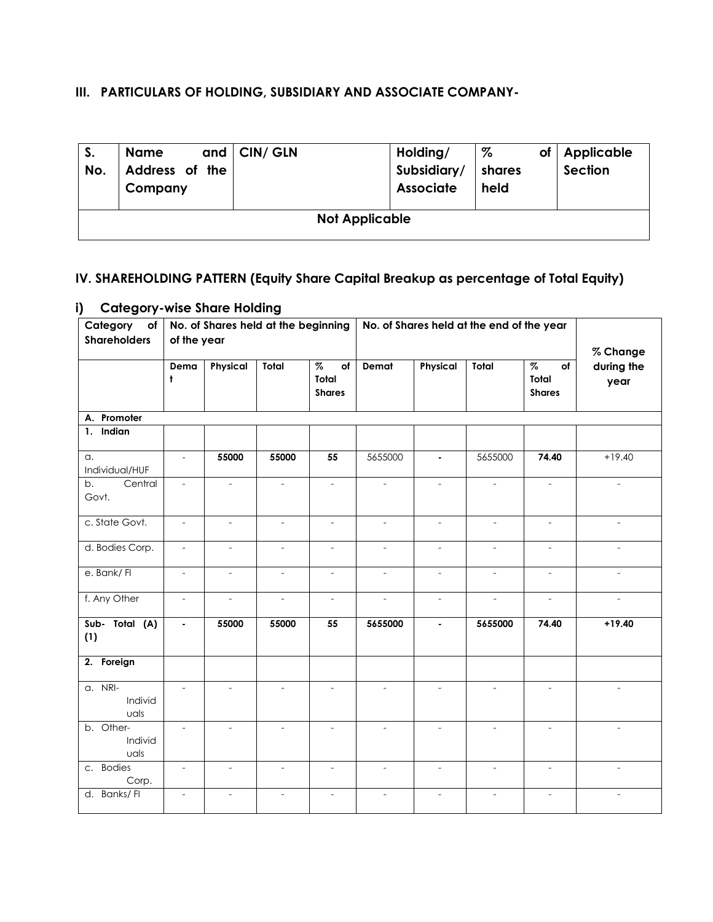## **III. PARTICULARS OF HOLDING, SUBSIDIARY AND ASSOCIATE COMPANY-**

| S.<br>No. | <b>Name</b><br>Address of the<br>Company | and $ $ CIN/ GLN | Holding/<br>Subsidiary/<br><b>Associate</b> | %<br>of<br>shares<br>held | Applicable<br>Section |  |  |  |  |
|-----------|------------------------------------------|------------------|---------------------------------------------|---------------------------|-----------------------|--|--|--|--|
|           | <b>Not Applicable</b>                    |                  |                                             |                           |                       |  |  |  |  |

# **IV. SHAREHOLDING PATTERN (Equity Share Capital Breakup as percentage of Total Equity)**

#### **i) Category-wise Share Holding**

| Category<br>No. of Shares held at the beginning<br>No. of Shares held at the end of the year<br>of |                             |                          |                          |                                                          |                          |                          |                          |                                      |                                |
|----------------------------------------------------------------------------------------------------|-----------------------------|--------------------------|--------------------------|----------------------------------------------------------|--------------------------|--------------------------|--------------------------|--------------------------------------|--------------------------------|
| <b>Shareholders</b>                                                                                | of the year                 |                          |                          |                                                          |                          |                          |                          |                                      |                                |
|                                                                                                    | Dema<br>Ł                   | Physical                 | Total                    | $\overline{\mathcal{Z}}$<br>of<br>Total<br><b>Shares</b> | Demat                    | Physical                 | Total                    | $\%$<br>of<br>Total<br><b>Shares</b> | % Change<br>during the<br>year |
| A. Promoter                                                                                        |                             |                          |                          |                                                          |                          |                          |                          |                                      |                                |
| 1. Indian                                                                                          |                             |                          |                          |                                                          |                          |                          |                          |                                      |                                |
| a.<br>Individual/HUF                                                                               | $\mathcal{L}_{\mathcal{A}}$ | 55000                    | 55000                    | 55                                                       | 5655000                  | $\blacksquare$           | 5655000                  | 74.40                                | $+19.40$                       |
| Central<br>b.<br>Govt.                                                                             | $\overline{\phantom{a}}$    | $\overline{a}$           | $\overline{\phantom{a}}$ | $\overline{\phantom{a}}$                                 | $\overline{\phantom{a}}$ | $\overline{\phantom{a}}$ | $\overline{\phantom{a}}$ | $\overline{\phantom{a}}$             | $\overline{\phantom{a}}$       |
| c. State Govt.                                                                                     | $\overline{\phantom{a}}$    | $\overline{\phantom{a}}$ | $\overline{\phantom{a}}$ | $\overline{\phantom{a}}$                                 | $\overline{\phantom{a}}$ | $\overline{\phantom{a}}$ | $\overline{\phantom{a}}$ | $\overline{\phantom{0}}$             | $\overline{\phantom{a}}$       |
| d. Bodies Corp.                                                                                    | $\sim$                      | $\overline{a}$           | $\overline{\phantom{a}}$ |                                                          | $\overline{\phantom{a}}$ | $\overline{\phantom{a}}$ | $\overline{a}$           |                                      |                                |
| e. Bank/ Fl                                                                                        | $\mathbf{r}$                | $\overline{a}$           | $\overline{a}$           | $\overline{\phantom{a}}$                                 | $\mathbf{r}$             | $\overline{a}$           | $\overline{a}$           | $\overline{\phantom{a}}$             | $\overline{a}$                 |
| f. Any Other                                                                                       | $\blacksquare$              | $\overline{\phantom{a}}$ | $\overline{\phantom{a}}$ | $\overline{\phantom{a}}$                                 | $\mathcal{L}$            | $\overline{\phantom{a}}$ | $\overline{\phantom{a}}$ | $\overline{\phantom{a}}$             | $\mathbf{r}$                   |
| Sub- Total (A)<br>(1)                                                                              | $\blacksquare$              | 55000                    | 55000                    | 55                                                       | 5655000                  | $\blacksquare$           | 5655000                  | 74.40                                | $+19.40$                       |
| 2. Foreign                                                                                         |                             |                          |                          |                                                          |                          |                          |                          |                                      |                                |
| a. NRI-<br>Individ<br>uals                                                                         |                             | $\overline{a}$           | $\overline{\phantom{a}}$ | $\overline{\phantom{a}}$                                 | $\overline{\phantom{a}}$ | $\overline{\phantom{a}}$ | $\overline{\phantom{a}}$ | $\overline{a}$                       | $\overline{\phantom{a}}$       |
| b. Other-<br>Individ<br>uals                                                                       | $\overline{\phantom{a}}$    |                          | $\overline{\phantom{a}}$ | $\overline{\phantom{a}}$                                 | $\overline{\phantom{a}}$ | $\overline{\phantom{a}}$ | $\overline{\phantom{a}}$ | $\overline{a}$                       | $\overline{\phantom{a}}$       |
| c. Bodies<br>Corp.                                                                                 | $\overline{\phantom{a}}$    | $\overline{\phantom{a}}$ | $\overline{\phantom{a}}$ | $\overline{\phantom{a}}$                                 | $\overline{\phantom{a}}$ | $\overline{\phantom{a}}$ | $\overline{\phantom{a}}$ | $\overline{\phantom{0}}$             | $\overline{\phantom{a}}$       |
| d. Banks/ Fl                                                                                       | $\sim$                      | $\overline{\phantom{a}}$ | $\sim$                   | $\sim$                                                   | $\overline{\phantom{a}}$ | $\overline{\phantom{a}}$ | $\overline{\phantom{a}}$ | $\overline{a}$                       | $\overline{a}$                 |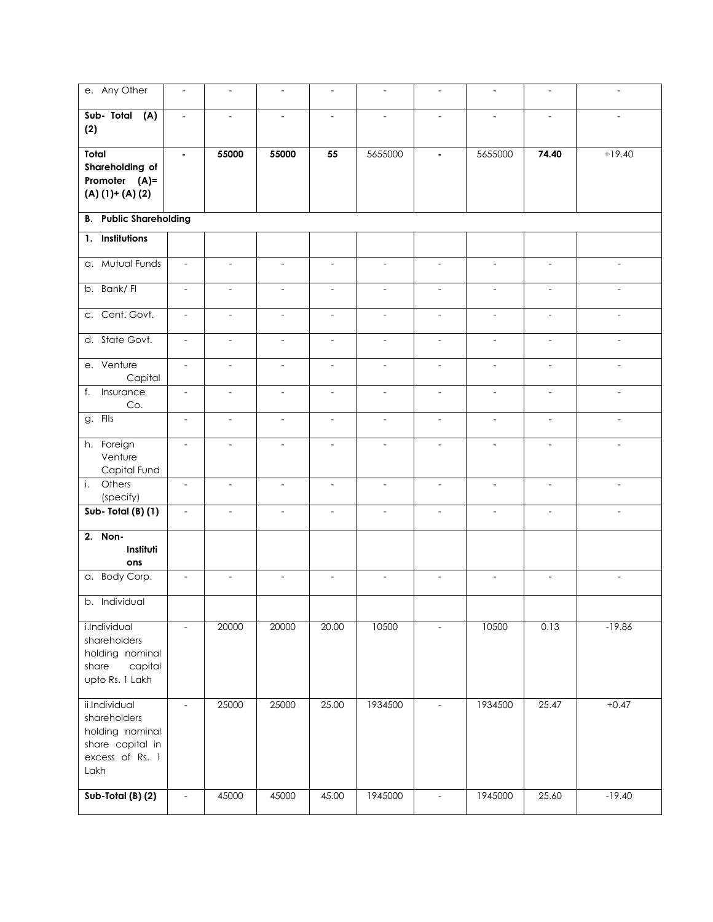| e. Any Other                                                                                    | $\overline{a}$           | $\overline{\phantom{a}}$ | $\overline{\phantom{a}}$ | $\overline{\phantom{a}}$ | $\overline{\phantom{a}}$ | $\overline{\phantom{a}}$ | $\overline{\phantom{a}}$ | $\overline{\phantom{a}}$ | $\overline{\phantom{a}}$ |  |  |
|-------------------------------------------------------------------------------------------------|--------------------------|--------------------------|--------------------------|--------------------------|--------------------------|--------------------------|--------------------------|--------------------------|--------------------------|--|--|
| Sub- Total (A)<br>(2)                                                                           | $\overline{\phantom{a}}$ | $\overline{\phantom{a}}$ | $\overline{\phantom{a}}$ | $\overline{a}$           | $\overline{\phantom{a}}$ | $\overline{a}$           | $\overline{a}$           | $\overline{\phantom{a}}$ | $\overline{a}$           |  |  |
| Total<br>Shareholding of<br>Promoter (A)=<br>$(A) (1)+(A) (2)$                                  | $\blacksquare$           | 55000                    | 55000                    | 55                       | 5655000                  | $\blacksquare$           | 5655000                  | 74.40                    | $+19.40$                 |  |  |
| <b>B.</b> Public Shareholding                                                                   |                          |                          |                          |                          |                          |                          |                          |                          |                          |  |  |
| 1. Institutions                                                                                 |                          |                          |                          |                          |                          |                          |                          |                          |                          |  |  |
| a. Mutual Funds                                                                                 | $\overline{\phantom{a}}$ | $\overline{\phantom{a}}$ | $\overline{\phantom{a}}$ | $\overline{\phantom{a}}$ | $\overline{\phantom{a}}$ | $\overline{\phantom{a}}$ | $\overline{\phantom{a}}$ | $\overline{\phantom{a}}$ | $\overline{\phantom{a}}$ |  |  |
| b. Bank/FI                                                                                      | $\overline{a}$           | $\frac{1}{2}$            | $\overline{\phantom{a}}$ | $\overline{\phantom{a}}$ | $\overline{\phantom{a}}$ | $\overline{\phantom{a}}$ | $\overline{\phantom{a}}$ | $\sim$                   | $\overline{a}$           |  |  |
| c. Cent. Govt.                                                                                  | $\overline{\phantom{a}}$ | $\overline{\phantom{a}}$ | $\overline{\phantom{a}}$ | $\overline{\phantom{a}}$ | $\overline{\phantom{a}}$ | $\overline{\phantom{a}}$ | $\overline{\phantom{a}}$ | $\overline{\phantom{a}}$ | $\overline{\phantom{a}}$ |  |  |
| d. State Govt.                                                                                  | $\overline{\phantom{a}}$ | $\overline{a}$           | $\overline{\phantom{a}}$ | $\overline{a}$           | $\overline{\phantom{a}}$ | $\overline{a}$           | $\overline{a}$           | ÷,                       |                          |  |  |
| e. Venture<br>Capital                                                                           | $\blacksquare$           | $\overline{\phantom{a}}$ | $\overline{\phantom{a}}$ | $\overline{\phantom{a}}$ | $\overline{\phantom{a}}$ | $\overline{\phantom{a}}$ | $\overline{\phantom{a}}$ | $\overline{\phantom{a}}$ | $\overline{\phantom{a}}$ |  |  |
| Insurance<br>f.<br>Co.                                                                          | $\overline{\phantom{a}}$ | $\overline{\phantom{a}}$ | $\overline{\phantom{a}}$ | $\overline{\phantom{a}}$ | $\overline{\phantom{a}}$ | $\overline{\phantom{a}}$ | $\overline{\phantom{a}}$ | $\overline{\phantom{a}}$ | $\overline{\phantom{a}}$ |  |  |
| g. Fils                                                                                         | $\overline{\phantom{a}}$ | $\overline{\phantom{a}}$ | $\overline{\phantom{a}}$ | $\overline{\phantom{a}}$ | $\overline{\phantom{a}}$ | $\overline{\phantom{a}}$ | $\overline{\phantom{a}}$ | $\blacksquare$           | $\blacksquare$           |  |  |
| h. Foreign<br>Venture<br>Capital Fund                                                           |                          | $\overline{a}$           | $\overline{\phantom{a}}$ | $\overline{\phantom{a}}$ | $\overline{a}$           | $\overline{a}$           | $\overline{a}$           | $\overline{\phantom{a}}$ | $\overline{\phantom{a}}$ |  |  |
| Others<br>i.<br>(specify)                                                                       | $\overline{\phantom{a}}$ | $\overline{\phantom{a}}$ | $\mathbb{L}$             | $\overline{\phantom{a}}$ | $\overline{\phantom{a}}$ | $\overline{\phantom{a}}$ | $\mathcal{L}$            | $\mathcal{L}$            | $\mathcal{L}$            |  |  |
| Sub-Total (B) (1)                                                                               | $\overline{\phantom{a}}$ | $\overline{\phantom{a}}$ | $\overline{\phantom{a}}$ | $\overline{\phantom{a}}$ | $\overline{\phantom{a}}$ | $\overline{\phantom{a}}$ | $\overline{\phantom{a}}$ | $\overline{\phantom{a}}$ | $\overline{\phantom{a}}$ |  |  |
| 2. Non-<br>Instituti<br>ons<br>a. Body Corp.                                                    |                          | $\overline{a}$           | $\overline{\phantom{a}}$ |                          | $\overline{\phantom{a}}$ | $\overline{\phantom{0}}$ | $\overline{\phantom{m}}$ |                          | $\overline{\phantom{a}}$ |  |  |
| b. Individual                                                                                   |                          |                          |                          |                          |                          |                          |                          |                          |                          |  |  |
|                                                                                                 |                          |                          |                          |                          |                          |                          |                          |                          |                          |  |  |
| i.Individual<br>shareholders<br>holding nominal<br>capital<br>share<br>upto Rs. 1 Lakh          | $\blacksquare$           | 20000                    | 20000                    | 20.00                    | 10500                    | $\overline{\phantom{a}}$ | 10500                    | 0.13                     | $-19.86$                 |  |  |
| ii.Individual<br>shareholders<br>holding nominal<br>share capital in<br>excess of Rs. 1<br>Lakh | $\overline{\phantom{a}}$ | 25000                    | 25000                    | 25.00                    | 1934500                  | $\bar{\phantom{a}}$      | 1934500                  | 25.47                    | $+0.47$                  |  |  |
| $Sub-Total(B) (2)$                                                                              |                          | 45000                    | 45000                    | 45.00                    | 1945000                  | $\overline{\phantom{a}}$ | 1945000                  | 25.60                    | $-19.40$                 |  |  |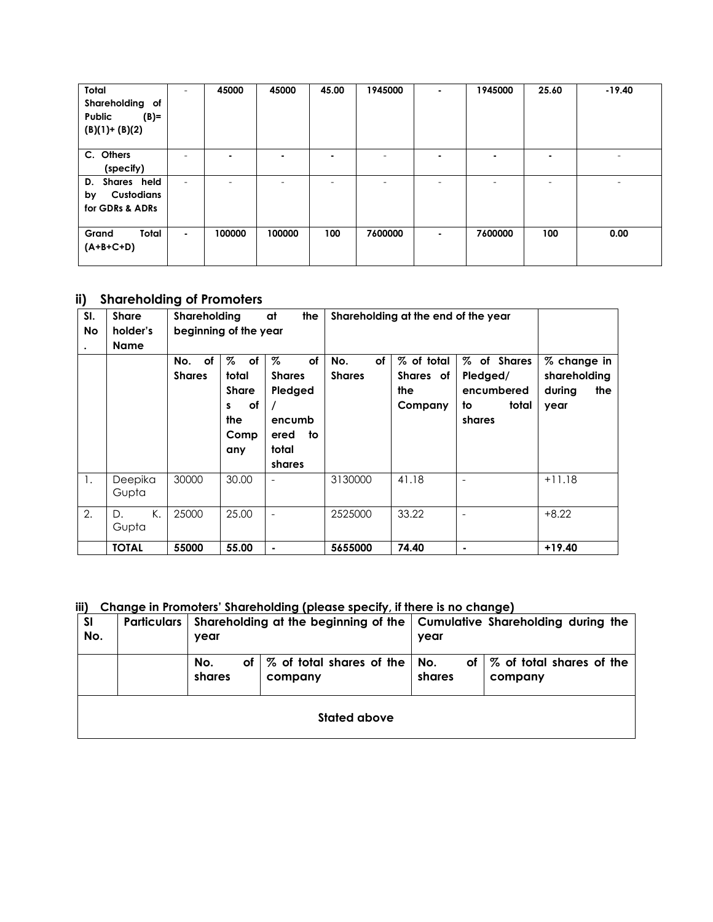| Total<br>Shareholding of<br>$(B)=$<br>Public<br>$(B)(1)+(B)(2)$ |                | 45000                    | 45000          | 45.00                    | 1945000 | $\blacksquare$ | 1945000 | 25.60          | $-19.40$ |
|-----------------------------------------------------------------|----------------|--------------------------|----------------|--------------------------|---------|----------------|---------|----------------|----------|
| C. Others<br>(specify)                                          |                | $\overline{\phantom{0}}$ | $\blacksquare$ | ٠                        |         | $\blacksquare$ | ۰       | $\blacksquare$ |          |
| D. Shares held<br><b>Custodians</b><br>by<br>for GDRs & ADRs    | -              | $\overline{\phantom{0}}$ | -              | $\overline{\phantom{a}}$ | ۰       | -              | ۰       | -              |          |
| Total<br>Grand<br>$(A+B+C+D)$                                   | $\blacksquare$ | 100000                   | 100000         | 100                      | 7600000 | $\blacksquare$ | 7600000 | 100            | 0.00     |

#### **ii) Shareholding of Promoters**

| SI.<br>No<br>$\bullet$ | <b>Share</b><br>holder's<br><b>Name</b> | Shareholding<br>beginning of the year |                                                                   | at<br>the                                                                      | Shareholding at the end of the year |                                           |                                                                |                                                      |
|------------------------|-----------------------------------------|---------------------------------------|-------------------------------------------------------------------|--------------------------------------------------------------------------------|-------------------------------------|-------------------------------------------|----------------------------------------------------------------|------------------------------------------------------|
|                        |                                         | of<br>No.<br><b>Shares</b>            | %<br>of<br>total<br><b>Share</b><br>оf<br>s<br>the<br>Comp<br>any | %<br>of<br><b>Shares</b><br>Pledged<br>encumb<br>to<br>ered<br>total<br>shares | of<br>No.<br><b>Shares</b>          | % of total<br>Shares of<br>the<br>Company | % of Shares<br>Pledged/<br>encumbered<br>to<br>total<br>shares | % change in<br>shareholding<br>during<br>the<br>year |
| 1.                     | Deepika<br>Gupta                        | 30000                                 | 30.00                                                             |                                                                                | 3130000                             | 41.18                                     |                                                                | $+11.18$                                             |
| 2.                     | К.<br>D.<br>Gupta                       | 25000                                 | 25.00                                                             |                                                                                | 2525000                             | 33.22                                     |                                                                | $+8.22$                                              |
|                        | <b>TOTAL</b>                            | 55000                                 | 55.00                                                             | ۰                                                                              | 5655000                             | 74.40                                     | $\blacksquare$                                                 | $+19.40$                                             |

**iii) Change in Promoters' Shareholding (please specify, if there is no change)** 

| SI<br>No. | <b>Particulars</b>  | year                                                              |  | Shareholding at the beginning of the   Cumulative Shareholding during the<br>year |                                                    |  |  |  |
|-----------|---------------------|-------------------------------------------------------------------|--|-----------------------------------------------------------------------------------|----------------------------------------------------|--|--|--|
|           |                     | 1% of total shares of the   No.<br>оf<br>No.<br>shares<br>company |  | shares                                                                            | of $\frac{1}{2}$ of total shares of the<br>company |  |  |  |
|           | <b>Stated above</b> |                                                                   |  |                                                                                   |                                                    |  |  |  |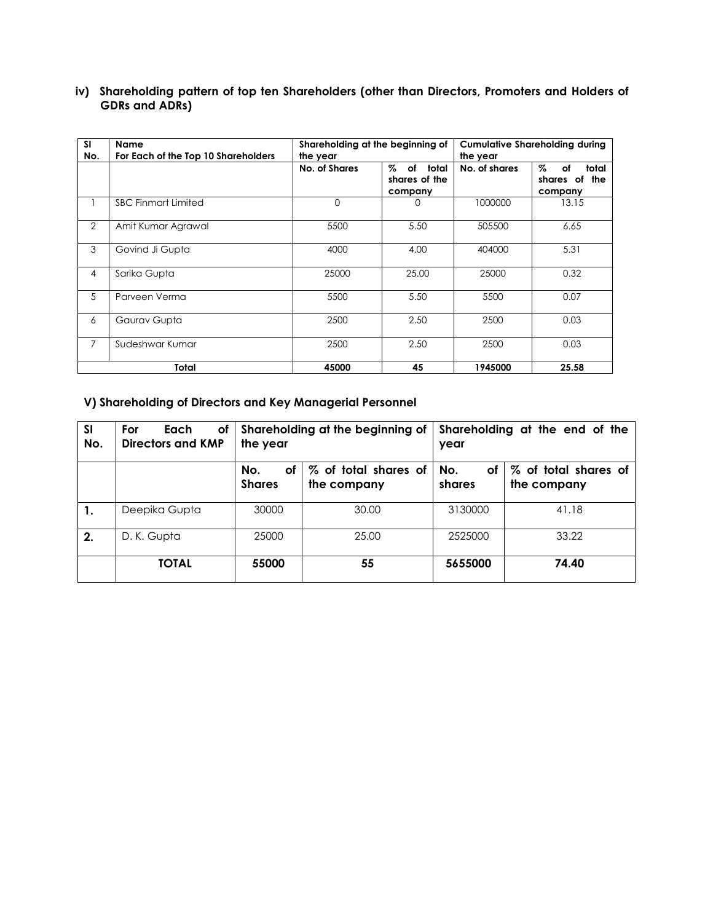| <b>SI</b><br>No. | <b>Name</b><br>For Each of the Top 10 Shareholders | Shareholding at the beginning of<br>the year |                                               | <b>Cumulative Shareholding during</b><br>the year |                                               |  |
|------------------|----------------------------------------------------|----------------------------------------------|-----------------------------------------------|---------------------------------------------------|-----------------------------------------------|--|
|                  |                                                    | No. of Shares                                | Z.<br>of<br>total<br>shares of the<br>company | No. of shares                                     | Z.<br>total<br>of<br>shares of the<br>company |  |
|                  | <b>SBC Finmart Limited</b>                         | $\mathbf 0$                                  | 0                                             | 1000000                                           | 13.15                                         |  |
| 2                | Amit Kumar Agrawal                                 | 5500                                         | 5.50                                          | 505500                                            | 6.65                                          |  |
| 3                | Govind Ji Gupta                                    | 4000                                         | 4.00                                          | 404000                                            | 5.31                                          |  |
| 4                | Sarika Gupta                                       | 25000                                        | 25.00                                         | 25000                                             | 0.32                                          |  |
| 5                | Parveen Verma                                      | 5500                                         | 5.50                                          | 5500                                              | 0.07                                          |  |
| 6                | Gaurav Gupta                                       | 2500                                         | 2.50                                          | 2500                                              | 0.03                                          |  |
| $\overline{7}$   | Sudeshwar Kumar                                    | 2500                                         | 2.50                                          | 2500                                              | 0.03                                          |  |
|                  | Total                                              | 45000                                        | 45                                            | 1945000                                           | 25.58                                         |  |

**iv) Shareholding pattern of top ten Shareholders (other than Directors, Promoters and Holders of GDRs and ADRs)** 

#### **V) Shareholding of Directors and Key Managerial Personnel**

| <b>SI</b><br>No. | For<br>Οf<br>Each<br>Directors and KMP | the year                   | Shareholding at the beginning of    | Shareholding at the end of the<br>year |                                     |  |  |
|------------------|----------------------------------------|----------------------------|-------------------------------------|----------------------------------------|-------------------------------------|--|--|
|                  |                                        | No.<br>οf<br><b>Shares</b> | % of total shares of<br>the company | No.<br>оf<br>shares                    | % of total shares of<br>the company |  |  |
|                  | Deepika Gupta                          | 30000                      | 30.00                               | 3130000                                | 41.18                               |  |  |
| 2.               | D. K. Gupta                            | 25000                      | 25.00                               | 2525000                                | 33.22                               |  |  |
|                  | <b>TOTAL</b>                           | 55000                      | 55                                  | 5655000                                | 74.40                               |  |  |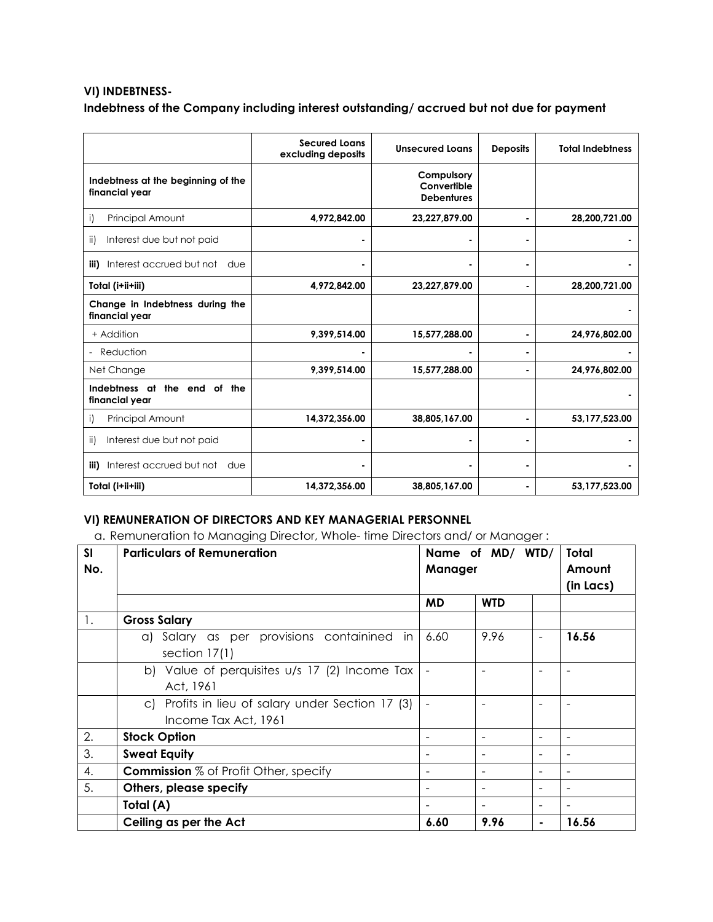#### **VI) INDEBTNESS-Indebtness of the Company including interest outstanding/ accrued but not due for payment**

|                                                      | <b>Secured Loans</b><br>excluding deposits | <b>Unsecured Loans</b>                         | <b>Deposits</b> | <b>Total Indebtness</b> |
|------------------------------------------------------|--------------------------------------------|------------------------------------------------|-----------------|-------------------------|
| Indebtness at the beginning of the<br>financial year |                                            | Compulsory<br>Convertible<br><b>Debentures</b> |                 |                         |
| Principal Amount<br>i)                               | 4,972,842.00                               | 23,227,879.00                                  | $\blacksquare$  | 28,200,721.00           |
| Interest due but not paid<br>ii)                     |                                            |                                                |                 |                         |
| Interest accrued but not<br>iii)<br>due              |                                            |                                                | $\blacksquare$  |                         |
| Total (i+ii+iii)                                     | 4,972,842.00                               | 23,227,879.00                                  |                 | 28,200,721.00           |
| Change in Indebtness during the<br>financial year    |                                            |                                                |                 |                         |
| + Addition                                           | 9,399,514.00                               | 15,577,288.00                                  | $\blacksquare$  | 24,976,802.00           |
| Reduction<br>$\overline{\phantom{0}}$                |                                            |                                                |                 |                         |
| Net Change                                           | 9,399,514.00                               | 15,577,288.00                                  | $\blacksquare$  | 24,976,802.00           |
| Indebtness at<br>the end of the<br>financial year    |                                            |                                                |                 |                         |
| Principal Amount<br>i)                               | 14,372,356.00                              | 38,805,167.00                                  |                 | 53,177,523.00           |
| Interest due but not paid<br>ii)                     |                                            |                                                |                 |                         |
| Interest accrued but not<br>iii)<br>due              |                                            |                                                |                 |                         |
| Total (i+ii+iii)                                     | 14,372,356.00                              | 38,805,167.00                                  |                 | 53,177,523.00           |

#### **VI) REMUNERATION OF DIRECTORS AND KEY MANAGERIAL PERSONNEL**

a. Remuneration to Managing Director, Whole- time Directors and/ or Manager :

| SI<br>No. | <b>Particulars of Remuneration</b>                                        | Manager | Name of MD/ WTD/                                     | <b>Total</b><br>Amount<br>(in Lacs) |
|-----------|---------------------------------------------------------------------------|---------|------------------------------------------------------|-------------------------------------|
|           |                                                                           | MD      | <b>WTD</b>                                           |                                     |
| 1.        | <b>Gross Salary</b>                                                       |         |                                                      |                                     |
|           | a) Salary as per provisions containined in<br>section $17(1)$             | 6.60    | 9.96<br>$\overline{\phantom{a}}$                     | 16.56                               |
|           | b) Value of perquisites u/s 17 (2) Income Tax<br>Act, 1961                |         |                                                      |                                     |
|           | c) Profits in lieu of salary under Section 17 (3)<br>Income Tax Act, 1961 |         |                                                      |                                     |
| 2.        | <b>Stock Option</b>                                                       |         | $\overline{\phantom{a}}$<br>$\overline{\phantom{a}}$ | ÷                                   |
| 3.        | <b>Sweat Equity</b>                                                       |         |                                                      |                                     |
| 4.        | <b>Commission</b> % of Profit Other, specify                              |         | $\blacksquare$                                       |                                     |
| 5.        | Others, please specify                                                    |         | $\overline{\phantom{a}}$                             |                                     |
|           | Total (A)                                                                 |         |                                                      |                                     |
|           | Ceiling as per the Act                                                    | 6.60    | 9.96<br>۰                                            | 16.56                               |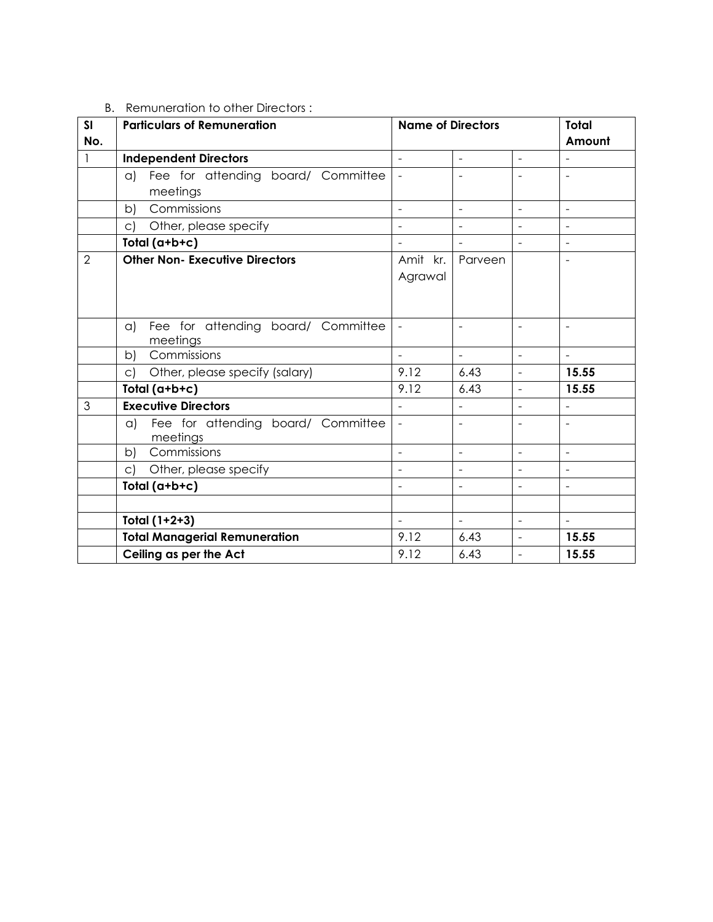| B. Remuneration to other Directors: |  |  |
|-------------------------------------|--|--|
|                                     |  |  |

| SI             | <b>Particulars of Remuneration</b>                   | <b>Name of Directors</b> |                          |                          | <b>Total</b>             |
|----------------|------------------------------------------------------|--------------------------|--------------------------|--------------------------|--------------------------|
| No.            |                                                      |                          |                          |                          | Amount                   |
| $\mathbf{1}$   | <b>Independent Directors</b>                         | $\overline{a}$           | $\overline{\phantom{a}}$ | $\bar{\phantom{a}}$      | $\blacksquare$           |
|                | a) Fee for attending board/ Committee                | $\overline{a}$           |                          |                          |                          |
|                | meetings                                             |                          |                          |                          |                          |
|                | Commissions<br>b)                                    | $\overline{a}$           | $\overline{\phantom{a}}$ | $\blacksquare$           | $\overline{\phantom{a}}$ |
|                | Other, please specify<br>C)                          | L.                       | $\sim$                   | $\overline{a}$           | $\overline{a}$           |
|                | Total (a+b+c)                                        |                          | $\overline{\phantom{a}}$ | $\overline{\phantom{a}}$ | $\overline{\phantom{a}}$ |
| $\overline{2}$ | <b>Other Non- Executive Directors</b>                | Amit kr.                 | Parveen                  |                          | $\sim$                   |
|                |                                                      | Agrawal                  |                          |                          |                          |
|                |                                                      |                          |                          |                          |                          |
|                |                                                      |                          |                          |                          |                          |
|                | Fee for attending board/ Committee<br>a)             | $\blacksquare$           | $\sim$                   | $\sim$                   | $\sim$                   |
|                | meetings                                             |                          |                          |                          |                          |
|                | Commissions<br>b)                                    |                          | $\sim$                   |                          | $\sim$                   |
|                | Other, please specify (salary)<br>$\mathsf{C}$       | 9.12                     | 6.43                     |                          | 15.55                    |
|                | Total (a+b+c)                                        | 9.12                     | 6.43                     | $\overline{a}$           | 15.55                    |
| 3              | <b>Executive Directors</b>                           | $\overline{a}$           | $\overline{a}$           | $\overline{a}$           | $\overline{a}$           |
|                | Fee for attending board/ Committee<br>a)<br>meetings | $\blacksquare$           | $\overline{\phantom{a}}$ | $\blacksquare$           | $\blacksquare$           |
|                | Commissions<br>b)                                    | $\overline{a}$           | $\overline{\phantom{a}}$ | $\overline{\phantom{a}}$ | $\mathbf{r}$             |
|                | Other, please specify<br>c)                          |                          |                          |                          |                          |
|                | Total (a+b+c)                                        |                          |                          |                          |                          |
|                |                                                      |                          |                          |                          |                          |
|                | Total (1+2+3)                                        | $\overline{a}$           | $\overline{a}$           | $\overline{a}$           | $\overline{a}$           |
|                | <b>Total Managerial Remuneration</b>                 | 9.12                     | 6.43                     | $\bar{\phantom{a}}$      | 15.55                    |
|                | Ceiling as per the Act                               | 9.12                     | 6.43                     | $\overline{\phantom{a}}$ | 15.55                    |